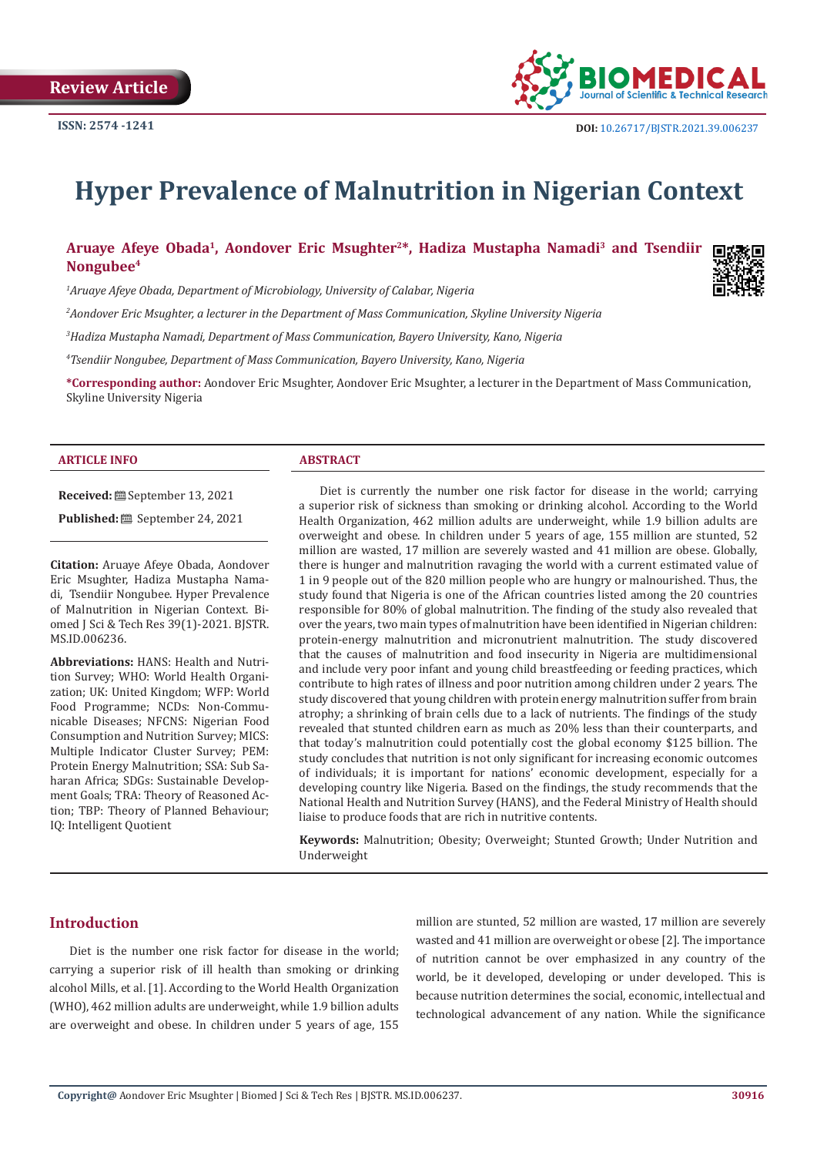

# **Hyper Prevalence of Malnutrition in Nigerian Context**

|                       | Aruaye Afeye Obada <sup>1</sup> , Aondover Eric Msughter <sup>2*</sup> , Hadiza Mustapha Namadi <sup>3</sup> and Tsendiir |  |  |  |  |
|-----------------------|---------------------------------------------------------------------------------------------------------------------------|--|--|--|--|
| Nongubee <sup>4</sup> |                                                                                                                           |  |  |  |  |

*1 Aruaye Afeye Obada, Department of Microbiology, University of Calabar, Nigeria*

*2 Aondover Eric Msughter, a lecturer in the Department of Mass Communication, Skyline University Nigeria*

*3 Hadiza Mustapha Namadi, Department of Mass Communication, Bayero University, Kano, Nigeria*

*4 Tsendiir Nongubee, Department of Mass Communication, Bayero University, Kano, Nigeria*

**\*Corresponding author:** Aondover Eric Msughter, Aondover Eric Msughter, a lecturer in the Department of Mass Communication, Skyline University Nigeria

#### **ARTICLE INFO ABSTRACT**

**Received:** September 13, 2021 Published: **i** September 24, 2021

**Citation:** Aruaye Afeye Obada, Aondover Eric Msughter, Hadiza Mustapha Namadi, Tsendiir Nongubee. Hyper Prevalence of Malnutrition in Nigerian Context. Biomed J Sci & Tech Res 39(1)-2021. BJSTR. MS.ID.006236.

**Abbreviations:** HANS: Health and Nutrition Survey; WHO: World Health Organization; UK: United Kingdom; WFP: World Food Programme; NCDs: Non-Communicable Diseases; NFCNS: Nigerian Food Consumption and Nutrition Survey; MICS: Multiple Indicator Cluster Survey; PEM: Protein Energy Malnutrition; SSA: Sub Saharan Africa; SDGs: Sustainable Development Goals; TRA: Theory of Reasoned Action; TBP: Theory of Planned Behaviour; IQ: Intelligent Quotient

Diet is currently the number one risk factor for disease in the world; carrying a superior risk of sickness than smoking or drinking alcohol. According to the World Health Organization, 462 million adults are underweight, while 1.9 billion adults are overweight and obese. In children under 5 years of age, 155 million are stunted, 52 million are wasted, 17 million are severely wasted and 41 million are obese. Globally, there is hunger and malnutrition ravaging the world with a current estimated value of 1 in 9 people out of the 820 million people who are hungry or malnourished. Thus, the study found that Nigeria is one of the African countries listed among the 20 countries responsible for 80% of global malnutrition. The finding of the study also revealed that over the years, two main types of malnutrition have been identified in Nigerian children: protein-energy malnutrition and micronutrient malnutrition. The study discovered that the causes of malnutrition and food insecurity in Nigeria are multidimensional and include very poor infant and young child breastfeeding or feeding practices, which contribute to high rates of illness and poor nutrition among children under 2 years. The study discovered that young children with protein energy malnutrition suffer from brain atrophy; a shrinking of brain cells due to a lack of nutrients. The findings of the study revealed that stunted children earn as much as 20% less than their counterparts, and that today's malnutrition could potentially cost the global economy \$125 billion. The study concludes that nutrition is not only significant for increasing economic outcomes of individuals; it is important for nations' economic development, especially for a developing country like Nigeria. Based on the findings, the study recommends that the National Health and Nutrition Survey (HANS), and the Federal Ministry of Health should liaise to produce foods that are rich in nutritive contents.

**Keywords:** Malnutrition; Obesity; Overweight; Stunted Growth; Under Nutrition and Underweight

# **Introduction**

Diet is the number one risk factor for disease in the world; carrying a superior risk of ill health than smoking or drinking alcohol Mills, et al. [1]. According to the World Health Organization (WHO), 462 million adults are underweight, while 1.9 billion adults are overweight and obese. In children under 5 years of age, 155

million are stunted, 52 million are wasted, 17 million are severely wasted and 41 million are overweight or obese [2]. The importance of nutrition cannot be over emphasized in any country of the world, be it developed, developing or under developed. This is because nutrition determines the social, economic, intellectual and technological advancement of any nation. While the significance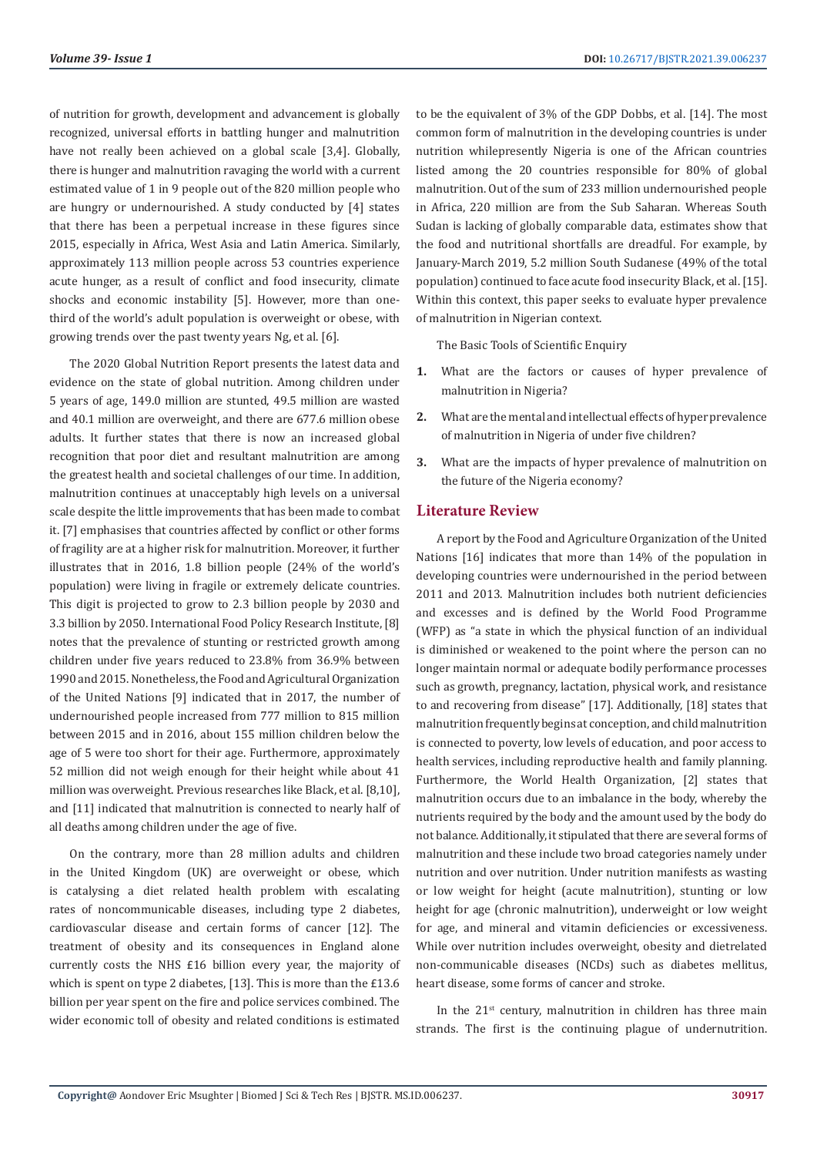of nutrition for growth, development and advancement is globally recognized, universal efforts in battling hunger and malnutrition have not really been achieved on a global scale [3,4]. Globally, there is hunger and malnutrition ravaging the world with a current estimated value of 1 in 9 people out of the 820 million people who are hungry or undernourished. A study conducted by [4] states that there has been a perpetual increase in these figures since 2015, especially in Africa, West Asia and Latin America. Similarly, approximately 113 million people across 53 countries experience acute hunger, as a result of conflict and food insecurity, climate shocks and economic instability [5]. However, more than onethird of the world's adult population is overweight or obese, with growing trends over the past twenty years Ng, et al. [6].

The 2020 Global Nutrition Report presents the latest data and evidence on the state of global nutrition. Among children under 5 years of age, 149.0 million are stunted, 49.5 million are wasted and 40.1 million are overweight, and there are 677.6 million obese adults. It further states that there is now an increased global recognition that poor diet and resultant malnutrition are among the greatest health and societal challenges of our time. In addition, malnutrition continues at unacceptably high levels on a universal scale despite the little improvements that has been made to combat it. [7] emphasises that countries affected by conflict or other forms of fragility are at a higher risk for malnutrition. Moreover, it further illustrates that in 2016, 1.8 billion people (24% of the world's population) were living in fragile or extremely delicate countries. This digit is projected to grow to 2.3 billion people by 2030 and 3.3 billion by 2050. International Food Policy Research Institute, [8] notes that the prevalence of stunting or restricted growth among children under five years reduced to 23.8% from 36.9% between 1990 and 2015. Nonetheless, the Food and Agricultural Organization of the United Nations [9] indicated that in 2017, the number of undernourished people increased from 777 million to 815 million between 2015 and in 2016, about 155 million children below the age of 5 were too short for their age. Furthermore, approximately 52 million did not weigh enough for their height while about 41 million was overweight. Previous researches like Black, et al. [8,10], and [11] indicated that malnutrition is connected to nearly half of all deaths among children under the age of five.

On the contrary, more than 28 million adults and children in the United Kingdom (UK) are overweight or obese, which is catalysing a diet related health problem with escalating rates of noncommunicable diseases, including type 2 diabetes, cardiovascular disease and certain forms of cancer [12]. The treatment of obesity and its consequences in England alone currently costs the NHS £16 billion every year, the majority of which is spent on type 2 diabetes, [13]. This is more than the £13.6 billion per year spent on the fire and police services combined. The wider economic toll of obesity and related conditions is estimated to be the equivalent of 3% of the GDP Dobbs, et al. [14]. The most common form of malnutrition in the developing countries is under nutrition whilepresently Nigeria is one of the African countries listed among the 20 countries responsible for 80% of global malnutrition. Out of the sum of 233 million undernourished people in Africa, 220 million are from the Sub Saharan. Whereas South Sudan is lacking of globally comparable data, estimates show that the food and nutritional shortfalls are dreadful. For example, by January-March 2019, 5.2 million South Sudanese (49% of the total population) continued to face acute food insecurity Black, et al. [15]. Within this context, this paper seeks to evaluate hyper prevalence of malnutrition in Nigerian context.

The Basic Tools of Scientific Enquiry

- **1.** What are the factors or causes of hyper prevalence of malnutrition in Nigeria?
- **2.** What are the mental and intellectual effects of hyper prevalence of malnutrition in Nigeria of under five children?
- **3.** What are the impacts of hyper prevalence of malnutrition on the future of the Nigeria economy?

### **Literature Review**

A report by the Food and Agriculture Organization of the United Nations [16] indicates that more than 14% of the population in developing countries were undernourished in the period between 2011 and 2013. Malnutrition includes both nutrient deficiencies and excesses and is defined by the World Food Programme (WFP) as "a state in which the physical function of an individual is diminished or weakened to the point where the person can no longer maintain normal or adequate bodily performance processes such as growth, pregnancy, lactation, physical work, and resistance to and recovering from disease" [17]. Additionally, [18] states that malnutrition frequently begins at conception, and child malnutrition is connected to poverty, low levels of education, and poor access to health services, including reproductive health and family planning. Furthermore, the World Health Organization, [2] states that malnutrition occurs due to an imbalance in the body, whereby the nutrients required by the body and the amount used by the body do not balance. Additionally, it stipulated that there are several forms of malnutrition and these include two broad categories namely under nutrition and over nutrition. Under nutrition manifests as wasting or low weight for height (acute malnutrition), stunting or low height for age (chronic malnutrition), underweight or low weight for age, and mineral and vitamin deficiencies or excessiveness. While over nutrition includes overweight, obesity and dietrelated non-communicable diseases (NCDs) such as diabetes mellitus, heart disease, some forms of cancer and stroke.

In the  $21<sup>st</sup>$  century, malnutrition in children has three main strands. The first is the continuing plague of undernutrition.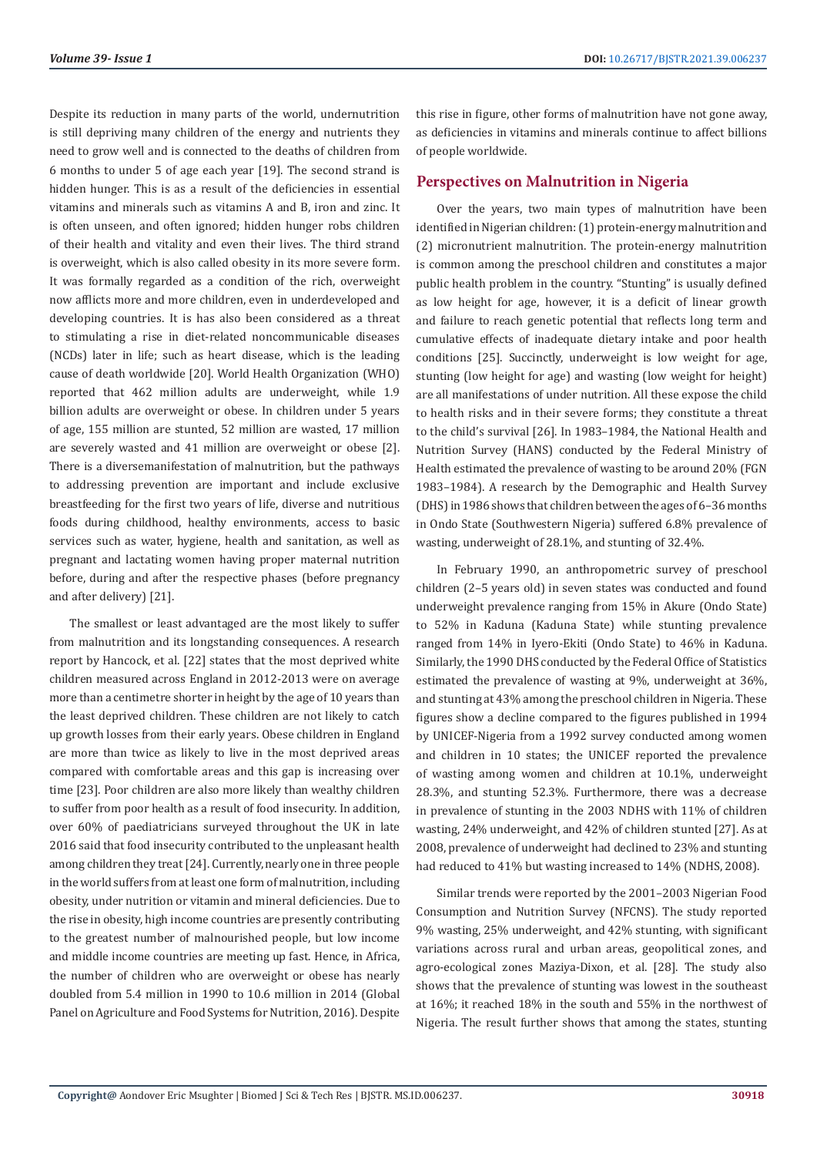Despite its reduction in many parts of the world, undernutrition is still depriving many children of the energy and nutrients they need to grow well and is connected to the deaths of children from 6 months to under 5 of age each year [19]. The second strand is hidden hunger. This is as a result of the deficiencies in essential vitamins and minerals such as vitamins A and B, iron and zinc. It is often unseen, and often ignored; hidden hunger robs children of their health and vitality and even their lives. The third strand is overweight, which is also called obesity in its more severe form. It was formally regarded as a condition of the rich, overweight now afflicts more and more children, even in underdeveloped and developing countries. It is has also been considered as a threat to stimulating a rise in diet-related noncommunicable diseases (NCDs) later in life; such as heart disease, which is the leading cause of death worldwide [20]. World Health Organization (WHO) reported that 462 million adults are underweight, while 1.9 billion adults are overweight or obese. In children under 5 years of age, 155 million are stunted, 52 million are wasted, 17 million are severely wasted and 41 million are overweight or obese [2]. There is a diversemanifestation of malnutrition, but the pathways to addressing prevention are important and include exclusive breastfeeding for the first two years of life, diverse and nutritious foods during childhood, healthy environments, access to basic services such as water, hygiene, health and sanitation, as well as pregnant and lactating women having proper maternal nutrition before, during and after the respective phases (before pregnancy and after delivery) [21].

The smallest or least advantaged are the most likely to suffer from malnutrition and its longstanding consequences. A research report by Hancock, et al. [22] states that the most deprived white children measured across England in 2012-2013 were on average more than a centimetre shorter in height by the age of 10 years than the least deprived children. These children are not likely to catch up growth losses from their early years. Obese children in England are more than twice as likely to live in the most deprived areas compared with comfortable areas and this gap is increasing over time [23]. Poor children are also more likely than wealthy children to suffer from poor health as a result of food insecurity. In addition, over 60% of paediatricians surveyed throughout the UK in late 2016 said that food insecurity contributed to the unpleasant health among children they treat [24]. Currently, nearly one in three people in the world suffers from at least one form of malnutrition, including obesity, under nutrition or vitamin and mineral deficiencies. Due to the rise in obesity, high income countries are presently contributing to the greatest number of malnourished people, but low income and middle income countries are meeting up fast. Hence, in Africa, the number of children who are overweight or obese has nearly doubled from 5.4 million in 1990 to 10.6 million in 2014 (Global Panel on Agriculture and Food Systems for Nutrition, 2016). Despite

this rise in figure, other forms of malnutrition have not gone away, as deficiencies in vitamins and minerals continue to affect billions of people worldwide.

### **Perspectives on Malnutrition in Nigeria**

Over the years, two main types of malnutrition have been identified in Nigerian children: (1) protein-energy malnutrition and (2) micronutrient malnutrition. The protein-energy malnutrition is common among the preschool children and constitutes a major public health problem in the country. "Stunting" is usually defined as low height for age, however, it is a deficit of linear growth and failure to reach genetic potential that reflects long term and cumulative effects of inadequate dietary intake and poor health conditions [25]. Succinctly, underweight is low weight for age, stunting (low height for age) and wasting (low weight for height) are all manifestations of under nutrition. All these expose the child to health risks and in their severe forms; they constitute a threat to the child's survival [26]. In 1983–1984, the National Health and Nutrition Survey (HANS) conducted by the Federal Ministry of Health estimated the prevalence of wasting to be around 20% (FGN 1983–1984). A research by the Demographic and Health Survey (DHS) in 1986 shows that children between the ages of 6–36 months in Ondo State (Southwestern Nigeria) suffered 6.8% prevalence of wasting, underweight of 28.1%, and stunting of 32.4%.

In February 1990, an anthropometric survey of preschool children (2–5 years old) in seven states was conducted and found underweight prevalence ranging from 15% in Akure (Ondo State) to 52% in Kaduna (Kaduna State) while stunting prevalence ranged from 14% in Iyero-Ekiti (Ondo State) to 46% in Kaduna. Similarly, the 1990 DHS conducted by the Federal Office of Statistics estimated the prevalence of wasting at 9%, underweight at 36%, and stunting at 43% among the preschool children in Nigeria. These figures show a decline compared to the figures published in 1994 by UNICEF-Nigeria from a 1992 survey conducted among women and children in 10 states; the UNICEF reported the prevalence of wasting among women and children at 10.1%, underweight 28.3%, and stunting 52.3%. Furthermore, there was a decrease in prevalence of stunting in the 2003 NDHS with 11% of children wasting, 24% underweight, and 42% of children stunted [27]. As at 2008, prevalence of underweight had declined to 23% and stunting had reduced to 41% but wasting increased to 14% (NDHS, 2008).

Similar trends were reported by the 2001–2003 Nigerian Food Consumption and Nutrition Survey (NFCNS). The study reported 9% wasting, 25% underweight, and 42% stunting, with significant variations across rural and urban areas, geopolitical zones, and agro-ecological zones Maziya-Dixon, et al. [28]. The study also shows that the prevalence of stunting was lowest in the southeast at 16%; it reached 18% in the south and 55% in the northwest of Nigeria. The result further shows that among the states, stunting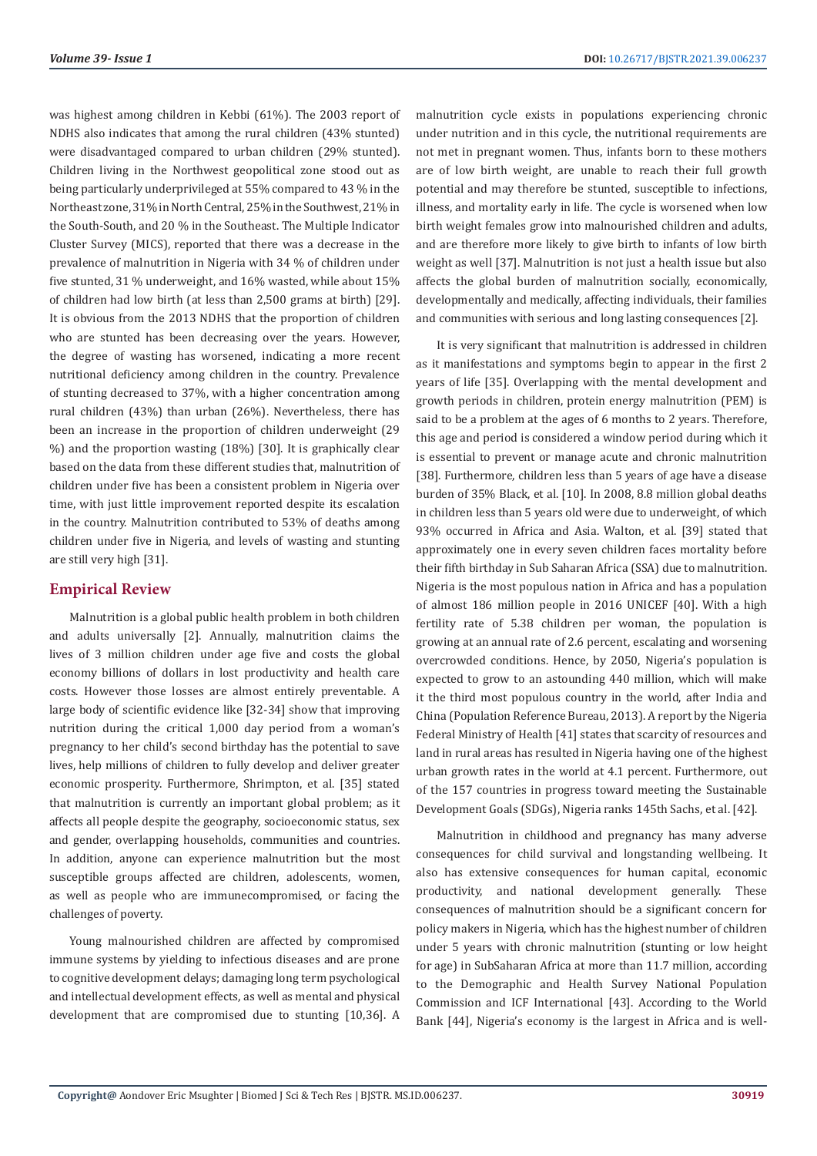was highest among children in Kebbi (61%). The 2003 report of NDHS also indicates that among the rural children (43% stunted) were disadvantaged compared to urban children (29% stunted). Children living in the Northwest geopolitical zone stood out as being particularly underprivileged at 55% compared to 43 % in the Northeast zone, 31% in North Central, 25% in the Southwest, 21% in the South-South, and 20 % in the Southeast. The Multiple Indicator Cluster Survey (MICS), reported that there was a decrease in the prevalence of malnutrition in Nigeria with 34 % of children under five stunted, 31 % underweight, and 16% wasted, while about 15% of children had low birth (at less than 2,500 grams at birth) [29]. It is obvious from the 2013 NDHS that the proportion of children who are stunted has been decreasing over the years. However, the degree of wasting has worsened, indicating a more recent nutritional deficiency among children in the country. Prevalence of stunting decreased to 37%, with a higher concentration among rural children (43%) than urban (26%). Nevertheless, there has been an increase in the proportion of children underweight (29 %) and the proportion wasting (18%) [30]. It is graphically clear based on the data from these different studies that, malnutrition of children under five has been a consistent problem in Nigeria over time, with just little improvement reported despite its escalation in the country. Malnutrition contributed to 53% of deaths among children under five in Nigeria, and levels of wasting and stunting are still very high [31].

# **Empirical Review**

Malnutrition is a global public health problem in both children and adults universally [2]. Annually, malnutrition claims the lives of 3 million children under age five and costs the global economy billions of dollars in lost productivity and health care costs. However those losses are almost entirely preventable. A large body of scientific evidence like [32-34] show that improving nutrition during the critical 1,000 day period from a woman's pregnancy to her child's second birthday has the potential to save lives, help millions of children to fully develop and deliver greater economic prosperity. Furthermore, Shrimpton, et al. [35] stated that malnutrition is currently an important global problem; as it affects all people despite the geography, socioeconomic status, sex and gender, overlapping households, communities and countries. In addition, anyone can experience malnutrition but the most susceptible groups affected are children, adolescents, women, as well as people who are immunecompromised, or facing the challenges of poverty.

Young malnourished children are affected by compromised immune systems by yielding to infectious diseases and are prone to cognitive development delays; damaging long term psychological and intellectual development effects, as well as mental and physical development that are compromised due to stunting [10,36]. A malnutrition cycle exists in populations experiencing chronic under nutrition and in this cycle, the nutritional requirements are not met in pregnant women. Thus, infants born to these mothers are of low birth weight, are unable to reach their full growth potential and may therefore be stunted, susceptible to infections, illness, and mortality early in life. The cycle is worsened when low birth weight females grow into malnourished children and adults, and are therefore more likely to give birth to infants of low birth weight as well [37]. Malnutrition is not just a health issue but also affects the global burden of malnutrition socially, economically, developmentally and medically, affecting individuals, their families and communities with serious and long lasting consequences [2].

It is very significant that malnutrition is addressed in children as it manifestations and symptoms begin to appear in the first 2 years of life [35]. Overlapping with the mental development and growth periods in children, protein energy malnutrition (PEM) is said to be a problem at the ages of 6 months to 2 years. Therefore, this age and period is considered a window period during which it is essential to prevent or manage acute and chronic malnutrition [38]. Furthermore, children less than 5 years of age have a disease burden of 35% Black, et al. [10]. In 2008, 8.8 million global deaths in children less than 5 years old were due to underweight, of which 93% occurred in Africa and Asia. Walton, et al. [39] stated that approximately one in every seven children faces mortality before their fifth birthday in Sub Saharan Africa (SSA) due to malnutrition. Nigeria is the most populous nation in Africa and has a population of almost 186 million people in 2016 UNICEF [40]. With a high fertility rate of 5.38 children per woman, the population is growing at an annual rate of 2.6 percent, escalating and worsening overcrowded conditions. Hence, by 2050, Nigeria's population is expected to grow to an astounding 440 million, which will make it the third most populous country in the world, after India and China (Population Reference Bureau, 2013). A report by the Nigeria Federal Ministry of Health [41] states that scarcity of resources and land in rural areas has resulted in Nigeria having one of the highest urban growth rates in the world at 4.1 percent. Furthermore, out of the 157 countries in progress toward meeting the Sustainable Development Goals (SDGs), Nigeria ranks 145th Sachs, et al. [42].

Malnutrition in childhood and pregnancy has many adverse consequences for child survival and longstanding wellbeing. It also has extensive consequences for human capital, economic productivity, and national development generally. These consequences of malnutrition should be a significant concern for policy makers in Nigeria, which has the highest number of children under 5 years with chronic malnutrition (stunting or low height for age) in SubSaharan Africa at more than 11.7 million, according to the Demographic and Health Survey National Population Commission and ICF International [43]. According to the World Bank [44], Nigeria's economy is the largest in Africa and is well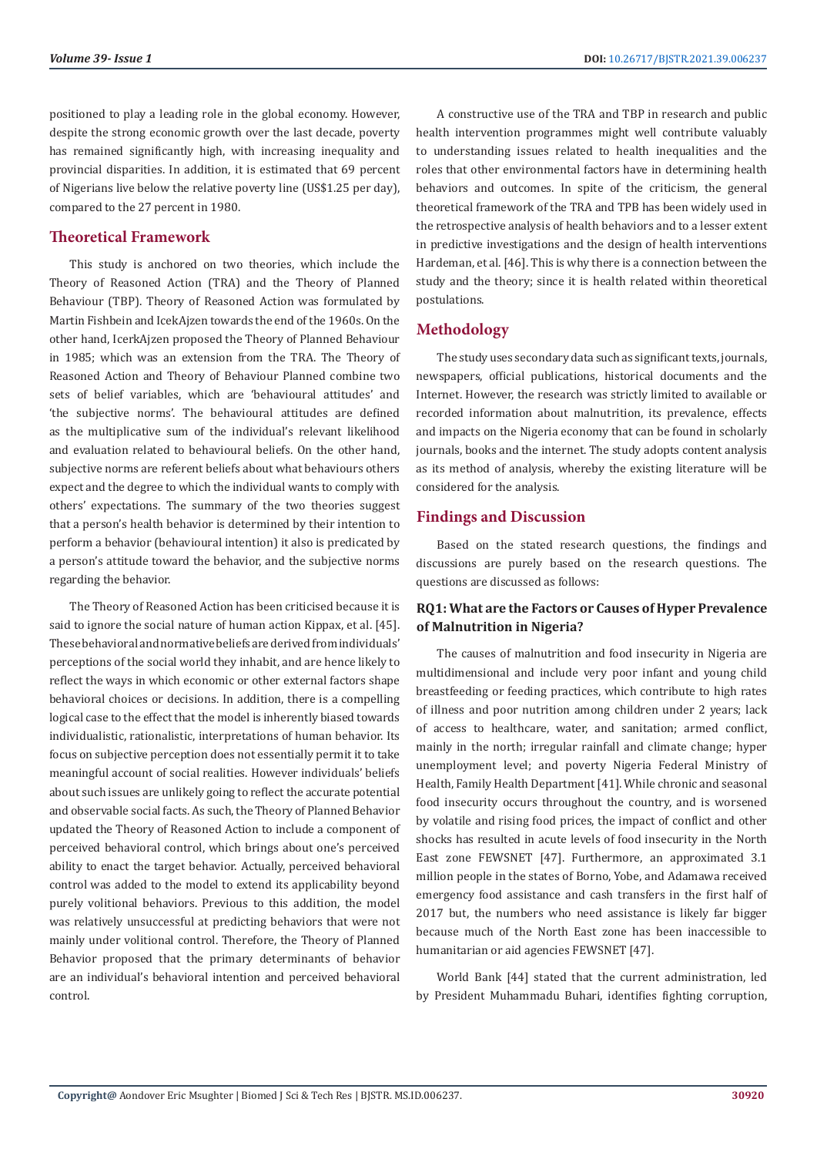positioned to play a leading role in the global economy. However, despite the strong economic growth over the last decade, poverty has remained significantly high, with increasing inequality and provincial disparities. In addition, it is estimated that 69 percent of Nigerians live below the relative poverty line (US\$1.25 per day), compared to the 27 percent in 1980.

# **Theoretical Framework**

This study is anchored on two theories, which include the Theory of Reasoned Action (TRA) and the Theory of Planned Behaviour (TBP). Theory of Reasoned Action was formulated by Martin Fishbein and IcekAjzen towards the end of the 1960s. On the other hand, IcerkAjzen proposed the Theory of Planned Behaviour in 1985; which was an extension from the TRA. The Theory of Reasoned Action and Theory of Behaviour Planned combine two sets of belief variables, which are 'behavioural attitudes' and 'the subjective norms'. The behavioural attitudes are defined as the multiplicative sum of the individual's relevant likelihood and evaluation related to behavioural beliefs. On the other hand, subjective norms are referent beliefs about what behaviours others expect and the degree to which the individual wants to comply with others' expectations. The summary of the two theories suggest that a person's health behavior is determined by their intention to perform a behavior (behavioural intention) it also is predicated by a person's attitude toward the behavior, and the subjective norms regarding the behavior.

The Theory of Reasoned Action has been criticised because it is said to ignore the social nature of human action Kippax, et al. [45]. These behavioral and normative beliefs are derived from individuals' perceptions of the social world they inhabit, and are hence likely to reflect the ways in which economic or other external factors shape behavioral choices or decisions. In addition, there is a compelling logical case to the effect that the model is inherently biased towards individualistic, rationalistic, interpretations of human behavior. Its focus on subjective perception does not essentially permit it to take meaningful account of social realities. However individuals' beliefs about such issues are unlikely going to reflect the accurate potential and observable social facts. As such, the Theory of Planned Behavior updated the Theory of Reasoned Action to include a component of perceived behavioral control, which brings about one's perceived ability to enact the target behavior. Actually, perceived behavioral control was added to the model to extend its applicability beyond purely volitional behaviors. Previous to this addition, the model was relatively unsuccessful at predicting behaviors that were not mainly under volitional control. Therefore, the Theory of Planned Behavior proposed that the primary determinants of behavior are an individual's behavioral intention and perceived behavioral control.

A constructive use of the TRA and TBP in research and public health intervention programmes might well contribute valuably to understanding issues related to health inequalities and the roles that other environmental factors have in determining health behaviors and outcomes. In spite of the criticism, the general theoretical framework of the TRA and TPB has been widely used in the retrospective analysis of health behaviors and to a lesser extent in predictive investigations and the design of health interventions Hardeman, et al. [46]. This is why there is a connection between the study and the theory; since it is health related within theoretical postulations.

# **Methodology**

The study uses secondary data such as significant texts, journals, newspapers, official publications, historical documents and the Internet. However, the research was strictly limited to available or recorded information about malnutrition, its prevalence, effects and impacts on the Nigeria economy that can be found in scholarly journals, books and the internet. The study adopts content analysis as its method of analysis, whereby the existing literature will be considered for the analysis.

# **Findings and Discussion**

Based on the stated research questions, the findings and discussions are purely based on the research questions. The questions are discussed as follows:

### **RQ1: What are the Factors or Causes of Hyper Prevalence of Malnutrition in Nigeria?**

The causes of malnutrition and food insecurity in Nigeria are multidimensional and include very poor infant and young child breastfeeding or feeding practices, which contribute to high rates of illness and poor nutrition among children under 2 years; lack of access to healthcare, water, and sanitation; armed conflict, mainly in the north; irregular rainfall and climate change; hyper unemployment level; and poverty Nigeria Federal Ministry of Health, Family Health Department [41]. While chronic and seasonal food insecurity occurs throughout the country, and is worsened by volatile and rising food prices, the impact of conflict and other shocks has resulted in acute levels of food insecurity in the North East zone FEWSNET [47]. Furthermore, an approximated 3.1 million people in the states of Borno, Yobe, and Adamawa received emergency food assistance and cash transfers in the first half of 2017 but, the numbers who need assistance is likely far bigger because much of the North East zone has been inaccessible to humanitarian or aid agencies FEWSNET [47].

World Bank [44] stated that the current administration, led by President Muhammadu Buhari, identifies fighting corruption,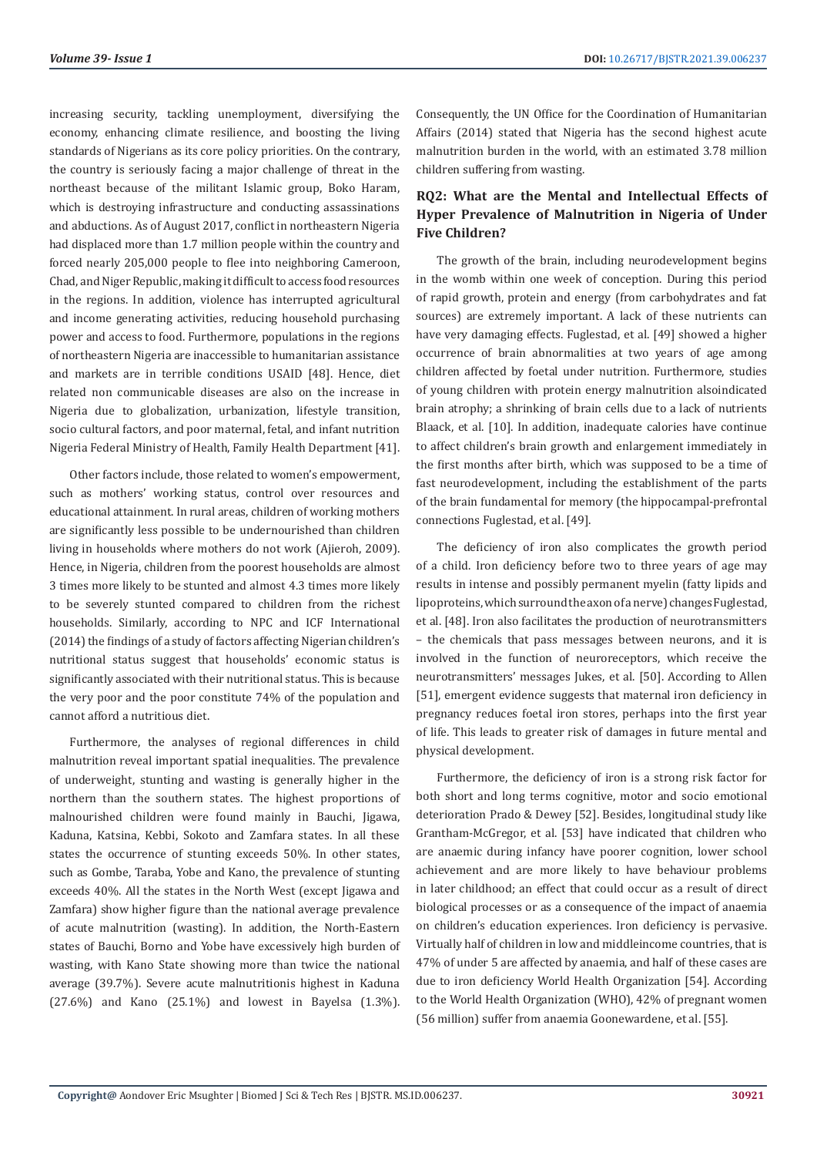increasing security, tackling unemployment, diversifying the economy, enhancing climate resilience, and boosting the living standards of Nigerians as its core policy priorities. On the contrary, the country is seriously facing a major challenge of threat in the northeast because of the militant Islamic group, Boko Haram, which is destroying infrastructure and conducting assassinations and abductions. As of August 2017, conflict in northeastern Nigeria had displaced more than 1.7 million people within the country and forced nearly 205,000 people to flee into neighboring Cameroon, Chad, and Niger Republic, making it difficult to access food resources in the regions. In addition, violence has interrupted agricultural and income generating activities, reducing household purchasing power and access to food. Furthermore, populations in the regions of northeastern Nigeria are inaccessible to humanitarian assistance and markets are in terrible conditions USAID [48]. Hence, diet related non communicable diseases are also on the increase in Nigeria due to globalization, urbanization, lifestyle transition, socio cultural factors, and poor maternal, fetal, and infant nutrition Nigeria Federal Ministry of Health, Family Health Department [41].

Other factors include, those related to women's empowerment, such as mothers' working status, control over resources and educational attainment. In rural areas, children of working mothers are significantly less possible to be undernourished than children living in households where mothers do not work (Ajieroh, 2009). Hence, in Nigeria, children from the poorest households are almost 3 times more likely to be stunted and almost 4.3 times more likely to be severely stunted compared to children from the richest households. Similarly, according to NPC and ICF International (2014) the findings of a study of factors affecting Nigerian children's nutritional status suggest that households' economic status is significantly associated with their nutritional status. This is because the very poor and the poor constitute 74% of the population and cannot afford a nutritious diet.

Furthermore, the analyses of regional differences in child malnutrition reveal important spatial inequalities. The prevalence of underweight, stunting and wasting is generally higher in the northern than the southern states. The highest proportions of malnourished children were found mainly in Bauchi, Jigawa, Kaduna, Katsina, Kebbi, Sokoto and Zamfara states. In all these states the occurrence of stunting exceeds 50%. In other states, such as Gombe, Taraba, Yobe and Kano, the prevalence of stunting exceeds 40%. All the states in the North West (except Jigawa and Zamfara) show higher figure than the national average prevalence of acute malnutrition (wasting). In addition, the North-Eastern states of Bauchi, Borno and Yobe have excessively high burden of wasting, with Kano State showing more than twice the national average (39.7%). Severe acute malnutritionis highest in Kaduna (27.6%) and Kano (25.1%) and lowest in Bayelsa (1.3%).

Consequently, the UN Office for the Coordination of Humanitarian Affairs (2014) stated that Nigeria has the second highest acute malnutrition burden in the world, with an estimated 3.78 million children suffering from wasting.

# **RQ2: What are the Mental and Intellectual Effects of Hyper Prevalence of Malnutrition in Nigeria of Under Five Children?**

The growth of the brain, including neurodevelopment begins in the womb within one week of conception. During this period of rapid growth, protein and energy (from carbohydrates and fat sources) are extremely important. A lack of these nutrients can have very damaging effects. Fuglestad, et al. [49] showed a higher occurrence of brain abnormalities at two years of age among children affected by foetal under nutrition. Furthermore, studies of young children with protein energy malnutrition alsoindicated brain atrophy; a shrinking of brain cells due to a lack of nutrients Blaack, et al. [10]. In addition, inadequate calories have continue to affect children's brain growth and enlargement immediately in the first months after birth, which was supposed to be a time of fast neurodevelopment, including the establishment of the parts of the brain fundamental for memory (the hippocampal-prefrontal connections Fuglestad, et al. [49].

The deficiency of iron also complicates the growth period of a child. Iron deficiency before two to three years of age may results in intense and possibly permanent myelin (fatty lipids and lipoproteins, which surround the axon of a nerve) changes Fuglestad, et al. [48]. Iron also facilitates the production of neurotransmitters – the chemicals that pass messages between neurons, and it is involved in the function of neuroreceptors, which receive the neurotransmitters' messages Jukes, et al. [50]. According to Allen [51], emergent evidence suggests that maternal iron deficiency in pregnancy reduces foetal iron stores, perhaps into the first year of life. This leads to greater risk of damages in future mental and physical development.

Furthermore, the deficiency of iron is a strong risk factor for both short and long terms cognitive, motor and socio emotional deterioration Prado & Dewey [52]. Besides, longitudinal study like Grantham-McGregor, et al. [53] have indicated that children who are anaemic during infancy have poorer cognition, lower school achievement and are more likely to have behaviour problems in later childhood; an effect that could occur as a result of direct biological processes or as a consequence of the impact of anaemia on children's education experiences. Iron deficiency is pervasive. Virtually half of children in low and middleincome countries, that is 47% of under 5 are affected by anaemia, and half of these cases are due to iron deficiency World Health Organization [54]. According to the World Health Organization (WHO), 42% of pregnant women (56 million) suffer from anaemia Goonewardene, et al. [55].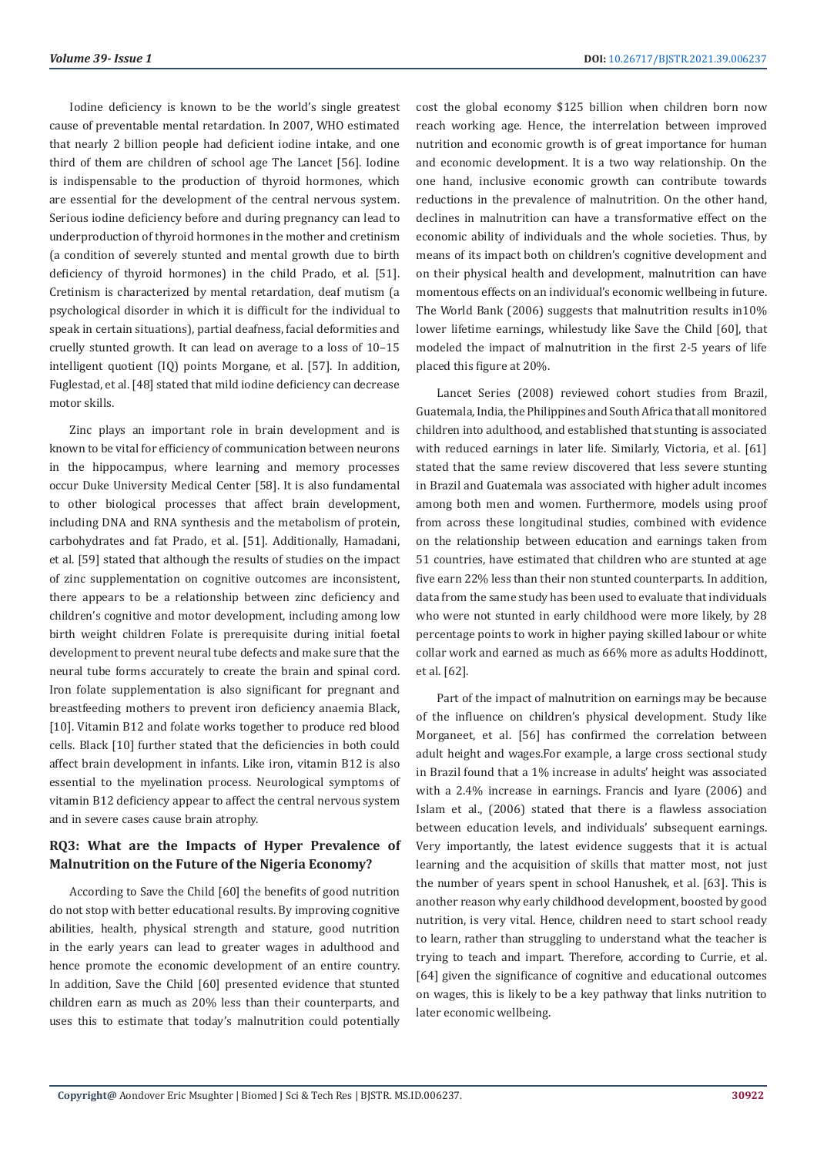Iodine deficiency is known to be the world's single greatest cause of preventable mental retardation. In 2007, WHO estimated that nearly 2 billion people had deficient iodine intake, and one third of them are children of school age The Lancet [56]. Iodine is indispensable to the production of thyroid hormones, which are essential for the development of the central nervous system. Serious iodine deficiency before and during pregnancy can lead to underproduction of thyroid hormones in the mother and cretinism (a condition of severely stunted and mental growth due to birth deficiency of thyroid hormones) in the child Prado, et al. [51]. Cretinism is characterized by mental retardation, deaf mutism (a psychological disorder in which it is difficult for the individual to speak in certain situations), partial deafness, facial deformities and cruelly stunted growth. It can lead on average to a loss of 10–15 intelligent quotient (IQ) points Morgane, et al. [57]. In addition, Fuglestad, et al. [48] stated that mild iodine deficiency can decrease motor skills.

Zinc plays an important role in brain development and is known to be vital for efficiency of communication between neurons in the hippocampus, where learning and memory processes occur Duke University Medical Center [58]. It is also fundamental to other biological processes that affect brain development, including DNA and RNA synthesis and the metabolism of protein, carbohydrates and fat Prado, et al. [51]. Additionally, Hamadani, et al. [59] stated that although the results of studies on the impact of zinc supplementation on cognitive outcomes are inconsistent, there appears to be a relationship between zinc deficiency and children's cognitive and motor development, including among low birth weight children Folate is prerequisite during initial foetal development to prevent neural tube defects and make sure that the neural tube forms accurately to create the brain and spinal cord. Iron folate supplementation is also significant for pregnant and breastfeeding mothers to prevent iron deficiency anaemia Black, [10]. Vitamin B12 and folate works together to produce red blood cells. Black [10] further stated that the deficiencies in both could affect brain development in infants. Like iron, vitamin B12 is also essential to the myelination process. Neurological symptoms of vitamin B12 deficiency appear to affect the central nervous system and in severe cases cause brain atrophy.

# **RQ3: What are the Impacts of Hyper Prevalence of Malnutrition on the Future of the Nigeria Economy?**

According to Save the Child [60] the benefits of good nutrition do not stop with better educational results. By improving cognitive abilities, health, physical strength and stature, good nutrition in the early years can lead to greater wages in adulthood and hence promote the economic development of an entire country. In addition, Save the Child [60] presented evidence that stunted children earn as much as 20% less than their counterparts, and uses this to estimate that today's malnutrition could potentially

cost the global economy \$125 billion when children born now reach working age. Hence, the interrelation between improved nutrition and economic growth is of great importance for human and economic development. It is a two way relationship. On the one hand, inclusive economic growth can contribute towards reductions in the prevalence of malnutrition. On the other hand, declines in malnutrition can have a transformative effect on the economic ability of individuals and the whole societies. Thus, by means of its impact both on children's cognitive development and on their physical health and development, malnutrition can have momentous effects on an individual's economic wellbeing in future. The World Bank (2006) suggests that malnutrition results in10% lower lifetime earnings, whilestudy like Save the Child [60], that modeled the impact of malnutrition in the first 2-5 years of life placed this figure at 20%.

Lancet Series (2008) reviewed cohort studies from Brazil, Guatemala, India, the Philippines and South Africa that all monitored children into adulthood, and established that stunting is associated with reduced earnings in later life. Similarly, Victoria, et al. [61] stated that the same review discovered that less severe stunting in Brazil and Guatemala was associated with higher adult incomes among both men and women. Furthermore, models using proof from across these longitudinal studies, combined with evidence on the relationship between education and earnings taken from 51 countries, have estimated that children who are stunted at age five earn 22% less than their non stunted counterparts. In addition, data from the same study has been used to evaluate that individuals who were not stunted in early childhood were more likely, by 28 percentage points to work in higher paying skilled labour or white collar work and earned as much as 66% more as adults Hoddinott, et al. [62].

Part of the impact of malnutrition on earnings may be because of the influence on children's physical development. Study like Morganeet, et al. [56] has confirmed the correlation between adult height and wages.For example, a large cross sectional study in Brazil found that a 1% increase in adults' height was associated with a 2.4% increase in earnings. Francis and Iyare (2006) and Islam et al., (2006) stated that there is a flawless association between education levels, and individuals' subsequent earnings. Very importantly, the latest evidence suggests that it is actual learning and the acquisition of skills that matter most, not just the number of years spent in school Hanushek, et al. [63]. This is another reason why early childhood development, boosted by good nutrition, is very vital. Hence, children need to start school ready to learn, rather than struggling to understand what the teacher is trying to teach and impart. Therefore, according to Currie, et al. [64] given the significance of cognitive and educational outcomes on wages, this is likely to be a key pathway that links nutrition to later economic wellbeing.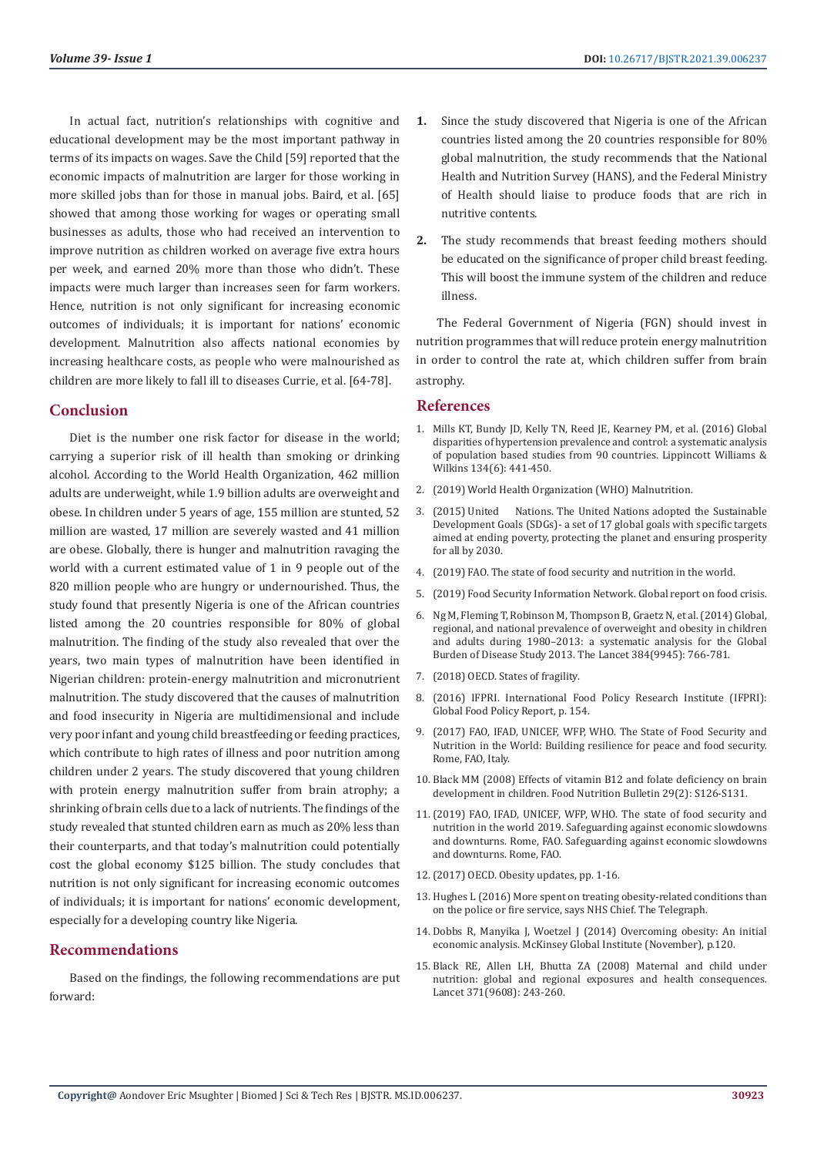In actual fact, nutrition's relationships with cognitive and educational development may be the most important pathway in terms of its impacts on wages. Save the Child [59] reported that the economic impacts of malnutrition are larger for those working in more skilled jobs than for those in manual jobs. Baird, et al. [65] showed that among those working for wages or operating small businesses as adults, those who had received an intervention to improve nutrition as children worked on average five extra hours per week, and earned 20% more than those who didn't. These impacts were much larger than increases seen for farm workers. Hence, nutrition is not only significant for increasing economic outcomes of individuals; it is important for nations' economic development. Malnutrition also affects national economies by increasing healthcare costs, as people who were malnourished as children are more likely to fall ill to diseases Currie, et al. [64-78].

#### **Conclusion**

Diet is the number one risk factor for disease in the world; carrying a superior risk of ill health than smoking or drinking alcohol. According to the World Health Organization, 462 million adults are underweight, while 1.9 billion adults are overweight and obese. In children under 5 years of age, 155 million are stunted, 52 million are wasted, 17 million are severely wasted and 41 million are obese. Globally, there is hunger and malnutrition ravaging the world with a current estimated value of 1 in 9 people out of the 820 million people who are hungry or undernourished. Thus, the study found that presently Nigeria is one of the African countries listed among the 20 countries responsible for 80% of global malnutrition. The finding of the study also revealed that over the years, two main types of malnutrition have been identified in Nigerian children: protein-energy malnutrition and micronutrient malnutrition. The study discovered that the causes of malnutrition and food insecurity in Nigeria are multidimensional and include very poor infant and young child breastfeeding or feeding practices, which contribute to high rates of illness and poor nutrition among children under 2 years. The study discovered that young children with protein energy malnutrition suffer from brain atrophy; a shrinking of brain cells due to a lack of nutrients. The findings of the study revealed that stunted children earn as much as 20% less than their counterparts, and that today's malnutrition could potentially cost the global economy \$125 billion. The study concludes that nutrition is not only significant for increasing economic outcomes of individuals; it is important for nations' economic development, especially for a developing country like Nigeria.

#### **Recommendations**

Based on the findings, the following recommendations are put forward:

- **1.** Since the study discovered that Nigeria is one of the African countries listed among the 20 countries responsible for 80% global malnutrition, the study recommends that the National Health and Nutrition Survey (HANS), and the Federal Ministry of Health should liaise to produce foods that are rich in nutritive contents.
- **2.** The study recommends that breast feeding mothers should be educated on the significance of proper child breast feeding. This will boost the immune system of the children and reduce illness.

The Federal Government of Nigeria (FGN) should invest in nutrition programmes that will reduce protein energy malnutrition in order to control the rate at, which children suffer from brain astrophy.

## **References**

- 1. [Mills KT, Bundy JD, Kelly TN, Reed JE, Kearney PM, et al. \(2016\) Global](https://www.ncbi.nlm.nih.gov/pmc/articles/PMC4979614/) [disparities of hypertension prevalence and control: a systematic analysis](https://www.ncbi.nlm.nih.gov/pmc/articles/PMC4979614/) [of population based studies from 90 countries. Lippincott Williams &](https://www.ncbi.nlm.nih.gov/pmc/articles/PMC4979614/) [Wilkins 134\(6\): 441-450.](https://www.ncbi.nlm.nih.gov/pmc/articles/PMC4979614/)
- 2. [\(2019\) World Health Organization \(WHO\) Malnutrition.](https://www.who.int/news-room/fact-sheets/detail/malnutrition)
- 3. (2015) United Nations. The United Nations adopted the Sustainable Development Goals (SDGs)- a set of 17 global goals with specific targets aimed at ending poverty, protecting the planet and ensuring prosperity for all by 2030.
- 4. [\(2019\) FAO. The state of food security and nutrition in the world.](http://www.fao.org/publications/sofi/2021/en/)
- 5. [\(2019\) Food Security Information Network. Global report on food crisis.](https://reliefweb.int/report/world/global-report-food-crises-2019-enar)
- 6. [Ng M, Fleming T, Robinson M, Thompson B, Graetz N, et al. \(2014\) Global,](https://www.thelancet.com/journals/lancet/article/PIIS0140-6736(14)60460-8/fulltext) [regional, and national prevalence of overweight and obesity in children](https://www.thelancet.com/journals/lancet/article/PIIS0140-6736(14)60460-8/fulltext) [and adults during 1980–2013: a systematic analysis for the Global](https://www.thelancet.com/journals/lancet/article/PIIS0140-6736(14)60460-8/fulltext) [Burden of Disease Study 2013. The Lancet 384\(9945\): 766-781.](https://www.thelancet.com/journals/lancet/article/PIIS0140-6736(14)60460-8/fulltext)
- 7. [\(2018\) OECD. States of fragility.](https://www.oecd.org/dac/conflict-fragility-resilience/listofstateoffragilityreports.htm)
- 8. (2016) IFPRI. International Food Policy Research Institute (IFPRI): Global Food Policy Report, p. 154.
- 9. [\(2017\) FAO, IFAD, UNICEF, WFP, WHO. The State of Food Security and](http://www.fao.org/policy-support/tools-and-publications/resources-details/en/c/1107528/) [Nutrition in the World: Building resilience for peace and food security.](http://www.fao.org/policy-support/tools-and-publications/resources-details/en/c/1107528/) [Rome, FAO, Italy.](http://www.fao.org/policy-support/tools-and-publications/resources-details/en/c/1107528/)
- 10. [Black MM \(2008\) Effects of vitamin B12 and folate deficiency on brain](https://pubmed.ncbi.nlm.nih.gov/18709887/) [development in children. Food Nutrition Bulletin 29\(2\): S126-S131.](https://pubmed.ncbi.nlm.nih.gov/18709887/)
- 11.[\(2019\) FAO, IFAD, UNICEF, WFP, WHO. The state of food security and](http://www.fao.org/3/ca5162en/ca5162en.pdf) [nutrition in the world 2019. Safeguarding against economic slowdowns](http://www.fao.org/3/ca5162en/ca5162en.pdf) [and downturns. Rome, FAO. Safeguarding against economic slowdowns](http://www.fao.org/3/ca5162en/ca5162en.pdf) [and downturns. Rome, FAO.](http://www.fao.org/3/ca5162en/ca5162en.pdf)
- 12.[\(2017\) OECD. Obesity updates, pp. 1-16.](https://www.oecd.org/health/obesity-update.htm)
- 13. Hughes L (2016) More spent on treating obesity-related conditions than on the police or fire service, says NHS Chief. The Telegraph.
- 14. Dobbs R, Manyika J, Woetzel J (2014) Overcoming obesity: An initial economic analysis. McKinsey Global Institute (November), p.120.
- 15. [Black RE, Allen LH, Bhutta ZA \(2008\) Maternal and child under](https://pubmed.ncbi.nlm.nih.gov/18207566/) [nutrition: global and regional exposures and health consequences.](https://pubmed.ncbi.nlm.nih.gov/18207566/) [Lancet 371\(9608\): 243-260.](https://pubmed.ncbi.nlm.nih.gov/18207566/)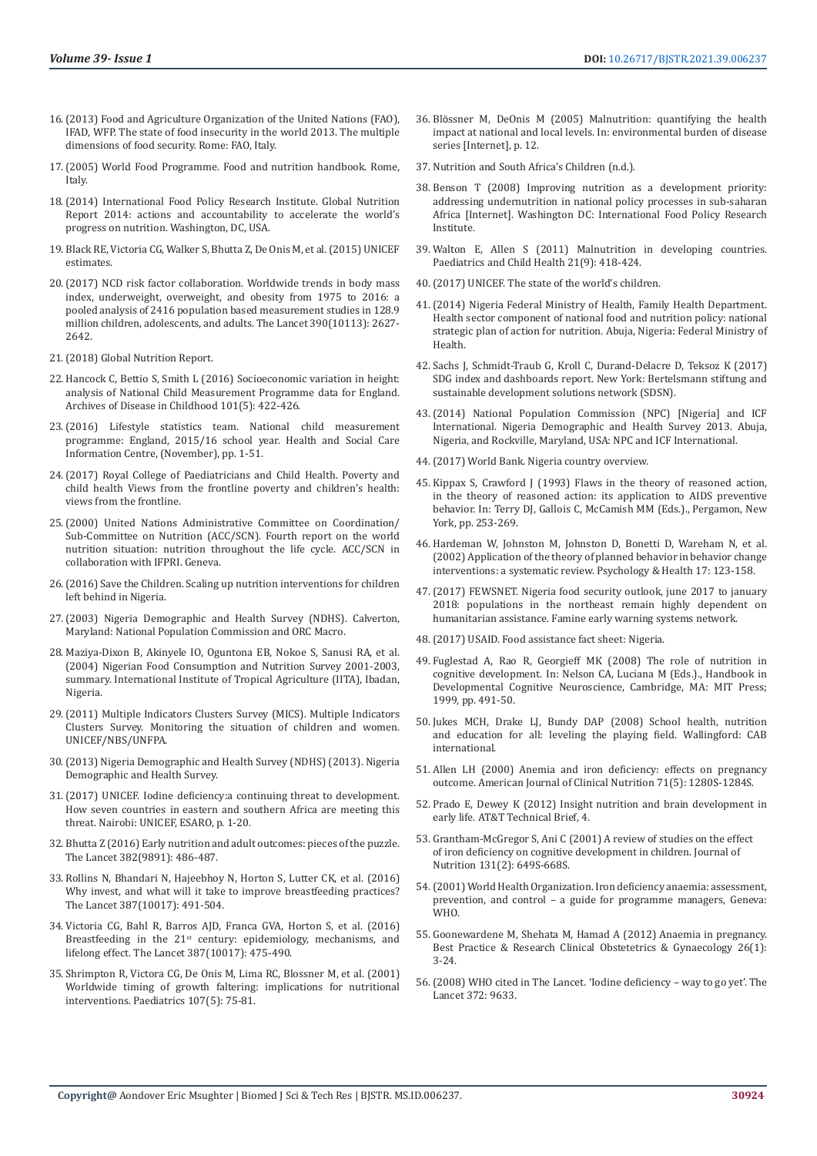- 16.[\(2013\) Food and Agriculture Organization of the United Nations \(FAO\),](http://www.fao.org/3/i3434e/i3434e.pdf)  [IFAD, WFP. The state of food insecurity in the world 2013. The multiple](http://www.fao.org/3/i3434e/i3434e.pdf)  [dimensions of food security. Rome: FAO, Italy.](http://www.fao.org/3/i3434e/i3434e.pdf)
- 17.[\(2005\) World Food Programme. Food and nutrition handbook. Rome,](https://docs.wfp.org/api/documents/WFP-0000102101/download/)  [Italy.](https://docs.wfp.org/api/documents/WFP-0000102101/download/)
- 18.[\(2014\) International Food Policy Research Institute. Global Nutrition](https://www.ifpri.org/publication/global-nutrition-report-2014-actions-and-accountability-accelerate-worlds-progress)  [Report 2014: actions and accountability to accelerate the world's](https://www.ifpri.org/publication/global-nutrition-report-2014-actions-and-accountability-accelerate-worlds-progress)  [progress on nutrition. Washington, DC, USA.](https://www.ifpri.org/publication/global-nutrition-report-2014-actions-and-accountability-accelerate-worlds-progress)
- 19. Black RE, Victoria CG, Walker S, Bhutta Z, De Onis M, et al. (2015) UNICEF estimates.
- 20.[\(2017\) NCD risk factor collaboration. Worldwide trends in body mass](https://pubmed.ncbi.nlm.nih.gov/29029897/)  [index, underweight, overweight, and obesity from 1975 to 2016: a](https://pubmed.ncbi.nlm.nih.gov/29029897/)  [pooled analysis of 2416 population based measurement studies in 128.9](https://pubmed.ncbi.nlm.nih.gov/29029897/)  [million children, adolescents, and adults. The Lancet 390\(10113\): 2627-](https://pubmed.ncbi.nlm.nih.gov/29029897/) [2642.](https://pubmed.ncbi.nlm.nih.gov/29029897/)
- 21.[\(2018\) Global Nutrition Report.](https://globalnutritionreport.org/reports/global-nutrition-report-2018/)
- 22. [Hancock C, Bettio S, Smith L \(2016\) Socioeconomic variation in height:](https://pubmed.ncbi.nlm.nih.gov/26342096/)  [analysis of National Child Measurement Programme data for England.](https://pubmed.ncbi.nlm.nih.gov/26342096/)  [Archives of Disease in Childhood 101\(5\): 422-426.](https://pubmed.ncbi.nlm.nih.gov/26342096/)
- 23.(2016) Lifestyle statistics team. National child measurement programme: England, 2015/16 school year. Health and Social Care Information Centre, (November), pp. 1-51.
- 24.[\(2017\) Royal College of Paediatricians and Child Health. Poverty and](https://cpag.org.uk/policy-and-campaigns/report/poverty-and-child-health-views-frontline)  [child health Views from the frontline poverty and children's health:](https://cpag.org.uk/policy-and-campaigns/report/poverty-and-child-health-views-frontline)  [views from the frontline.](https://cpag.org.uk/policy-and-campaigns/report/poverty-and-child-health-views-frontline)
- 25.[\(2000\) United Nations Administrative Committee on Coordination/](https://www.unscn.org/layout/modules/resources/files/rwns4.pdf) [Sub-Committee on Nutrition \(ACC/SCN\). Fourth report on the world](https://www.unscn.org/layout/modules/resources/files/rwns4.pdf)  [nutrition situation: nutrition throughout the life cycle. ACC/SCN in](https://www.unscn.org/layout/modules/resources/files/rwns4.pdf)  [collaboration with IFPRI. Geneva.](https://www.unscn.org/layout/modules/resources/files/rwns4.pdf)
- 26.[\(2016\) Save the Children. Scaling up nutrition interventions for children](https://www.researchgate.net/publication/312211339_Scaling_up_nutrition_interventions_for_children_left_behind_in_Nigeria)  [left behind in Nigeria.](https://www.researchgate.net/publication/312211339_Scaling_up_nutrition_interventions_for_children_left_behind_in_Nigeria)
- 27.[\(2003\) Nigeria Demographic and Health Survey \(NDHS\). Calverton,](https://www.dhsprogram.com/pubs/pdf/FR148/FR148.pdf)  [Maryland: National Population Commission and ORC Macro.](https://www.dhsprogram.com/pubs/pdf/FR148/FR148.pdf)
- 28. [Maziya-Dixon B, Akinyele IO, Oguntona EB, Nokoe S, Sanusi RA, et al.](https://pdf.usaid.gov/pdf_docs/PNADC880.pdf)  [\(2004\) Nigerian Food Consumption and Nutrition Survey 2001-2003,](https://pdf.usaid.gov/pdf_docs/PNADC880.pdf)  [summary. International Institute of Tropical Agriculture \(IITA\), Ibadan,](https://pdf.usaid.gov/pdf_docs/PNADC880.pdf)  [Nigeria.](https://pdf.usaid.gov/pdf_docs/PNADC880.pdf)
- 29.[\(2011\) Multiple Indicators Clusters Survey \(MICS\). Multiple Indicators](https://www.unicef.org/northmacedonia/reports/multiple-indicator-cluster-survey-2011)  [Clusters Survey. Monitoring the situation of children and women.](https://www.unicef.org/northmacedonia/reports/multiple-indicator-cluster-survey-2011)  [UNICEF/NBS/UNFPA.](https://www.unicef.org/northmacedonia/reports/multiple-indicator-cluster-survey-2011)
- 30.[\(2013\) Nigeria Demographic and Health Survey \(NDHS\) \(2013\). Nigeria](https://dhsprogram.com/pubs/pdf/fr293/fr293.pdf)  [Demographic and Health Survey.](https://dhsprogram.com/pubs/pdf/fr293/fr293.pdf)
- 31.(2017) UNICEF. Iodine deficiency:a continuing threat to development. How seven countries in eastern and southern Africa are meeting this threat. Nairobi: UNICEF, ESARO, p. 1-20.
- 32. [Bhutta Z \(2016\) Early nutrition and adult outcomes: pieces of the puzzle.](https://pubmed.ncbi.nlm.nih.gov/23541369/)  [The Lancet 382\(9891\): 486-487.](https://pubmed.ncbi.nlm.nih.gov/23541369/)
- 33. [Rollins N, Bhandari N, Hajeebhoy N, Horton S, Lutter CK, et al. \(2016\)](https://pubmed.ncbi.nlm.nih.gov/26869576/)  [Why invest, and what will it take to improve breastfeeding practices?](https://pubmed.ncbi.nlm.nih.gov/26869576/)  [The Lancet 387\(10017\): 491-504.](https://pubmed.ncbi.nlm.nih.gov/26869576/)
- 34. [Victoria CG, Bahl R, Barros AJD, Franca GVA, Horton S, et al. \(2016\)](https://pubmed.ncbi.nlm.nih.gov/26869575/)  Breastfeeding in the  $21^{st}$  century: epidemiology, mechanisms, and [lifelong effect. The Lancet 387\(10017\): 475-490.](https://pubmed.ncbi.nlm.nih.gov/26869575/)
- 35. [Shrimpton R, Victora CG, De Onis M, Lima RC, Blossner M, et al. \(2001\)](https://pubmed.ncbi.nlm.nih.gov/11331725/)  [Worldwide timing of growth faltering: implications for nutritional](https://pubmed.ncbi.nlm.nih.gov/11331725/)  [interventions. Paediatrics 107\(5\): 75-81.](https://pubmed.ncbi.nlm.nih.gov/11331725/)
- 36. Blö[ssner M, DeOnis M \(2005\) Malnutrition: quantifying the health](https://www.who.int/publications/i/item/malnutrition-quantifying-the-health-impact-at-national-and-local-levels) [impact at national and local levels. In: environmental burden of disease](https://www.who.int/publications/i/item/malnutrition-quantifying-the-health-impact-at-national-and-local-levels) [series \[Internet\], p. 12.](https://www.who.int/publications/i/item/malnutrition-quantifying-the-health-impact-at-national-and-local-levels)
- 37. [Nutrition and South Africa's Children \(n.d.\).](https://www.soulcity.org.za/projects/soul-buddyz-tv/soul-buddyz-series-3/literature-review/nutrition-literature-review)
- 38. [Benson T \(2008\) Improving nutrition as a development priority:](https://www.ifpri.org/publication/improving-nutrition-development-priority) [addressing undernutrition in national policy processes in sub-saharan](https://www.ifpri.org/publication/improving-nutrition-development-priority) [Africa \[Internet\]. Washington DC: International Food Policy Research](https://www.ifpri.org/publication/improving-nutrition-development-priority) [Institute.](https://www.ifpri.org/publication/improving-nutrition-development-priority)
- 39. Walton E, Allen S (2011) Malnutrition in developing countries. Paediatrics and Child Health 21(9): 418-424.
- 40.[\(2017\) UNICEF. The state of the world's children](https://www.unicef.org/reports/state-of-worlds-children).
- 41.[\(2014\) Nigeria Federal Ministry of Health, Family Health Department.](https://www.health.gov.ng/doc/NSPAN.pdf) [Health sector component of national food and nutrition policy: national](https://www.health.gov.ng/doc/NSPAN.pdf) [strategic plan of action for nutrition. Abuja, Nigeria: Federal Ministry of](https://www.health.gov.ng/doc/NSPAN.pdf) [Health.](https://www.health.gov.ng/doc/NSPAN.pdf)
- 42. Sachs J, Schmidt-Traub G, Kroll C, Durand-Delacre D, Teksoz K (2017) SDG index and dashboards report. New York: Bertelsmann stiftung and sustainable development solutions network (SDSN).
- 43.(2014) National Population Commission (NPC) [Nigeria] and ICF International. Nigeria Demographic and Health Survey 2013. Abuja, Nigeria, and Rockville, Maryland, USA: NPC and ICF International.
- 44.[\(2017\) World Bank. Nigeria country overview.](https://www.worldbank.org/en/country/nigeria/overview)
- 45. Kippax S, Crawford J (1993) Flaws in the theory of reasoned action, in the theory of reasoned action: its application to AIDS preventive behavior. In: Terry DJ, Gallois C, McCamish MM (Eds.)., Pergamon, New York, pp. 253-269.
- 46. [Hardeman W, Johnston M, Johnston D, Bonetti D, Wareham N, et al.](https://www.researchgate.net/publication/235356418_Application_of_the_Theory_of_Planned_Behaviour_in_Behaviour_Change_Interventions_A_Systematic_Review) [\(2002\) Application of the theory of planned behavior in behavior change](https://www.researchgate.net/publication/235356418_Application_of_the_Theory_of_Planned_Behaviour_in_Behaviour_Change_Interventions_A_Systematic_Review) [interventions: a systematic review. Psychology & Health 17: 123-158.](https://www.researchgate.net/publication/235356418_Application_of_the_Theory_of_Planned_Behaviour_in_Behaviour_Change_Interventions_A_Systematic_Review)
- 47.[\(2017\) FEWSNET. Nigeria food security outlook, june 2017 to january](https://fews.net/west-africa/nigeria/food-security-outlook/june-2017) [2018: populations in the northeast remain highly dependent on](https://fews.net/west-africa/nigeria/food-security-outlook/june-2017) [humanitarian assistance. Famine early warning systems network.](https://fews.net/west-africa/nigeria/food-security-outlook/june-2017)
- 48.[\(2017\) USAID. Food assistance fact sheet: Nigeria.](https://www.usaid.gov/nigeria/food-assistance)
- 49. Fuglestad A, Rao R, Georgieff MK (2008) The role of nutrition in cognitive development. In: Nelson CA, Luciana M (Eds.)., Handbook in Developmental Cognitive Neuroscience, Cambridge, MA: MIT Press; 1999, pp. 491-50.
- 50. [Jukes MCH, Drake LJ, Bundy DAP \(2008\) School health, nutrition](https://www.ncbi.nlm.nih.gov/pmc/articles/PMC2649604/) [and education for all: leveling the playing field. Wallingford: CAB](https://www.ncbi.nlm.nih.gov/pmc/articles/PMC2649604/) [international.](https://www.ncbi.nlm.nih.gov/pmc/articles/PMC2649604/)
- 51. [Allen LH \(2000\) Anemia and iron deficiency: effects on pregnancy](https://pubmed.ncbi.nlm.nih.gov/10799402/) [outcome. American Journal of Clinical Nutrition 71\(5\): 1280S-1284S.](https://pubmed.ncbi.nlm.nih.gov/10799402/)
- 52. [Prado E, Dewey K \(2012\) Insight nutrition and brain development in](https://www.fsnnetwork.org/resource/insight-nutrition-and-brain-development-early-life) [early life. AT&T Technical Brief, 4.](https://www.fsnnetwork.org/resource/insight-nutrition-and-brain-development-early-life)
- 53. [Grantham-McGregor S, Ani C \(2001\) A review of studies on the effect](https://pubmed.ncbi.nlm.nih.gov/11160596/)  [of iron deficiency on cognitive development in children. Journal of](https://pubmed.ncbi.nlm.nih.gov/11160596/)  [Nutrition 131\(2\): 649S-668S.](https://pubmed.ncbi.nlm.nih.gov/11160596/)
- 54.[\(2001\) World Health Organization. Iron deficiency anaemia: assessment,](https://www.who.int/nutrition/publications/en/ida_assessment_prevention_control.pdf) [prevention, and control – a guide for programme managers, Geneva:](https://www.who.int/nutrition/publications/en/ida_assessment_prevention_control.pdf) W<sub>H</sub>O.
- 55. [Goonewardene M, Shehata M, Hamad A \(2012\) Anaemia in pregnancy.](https://pubmed.ncbi.nlm.nih.gov/22138002/) [Best Practice & Research Clinical Obstetetrics & Gynaecology 26\(1\):](https://pubmed.ncbi.nlm.nih.gov/22138002/) [3-24.](https://pubmed.ncbi.nlm.nih.gov/22138002/)
- 56.[\(2008\) WHO cited in The Lancet. 'Iodine deficiency way to go yet'. The](https://www.thelancet.com/journals/lancet/article/PIIS0140673608610090/fulltext) [Lancet 372: 9633.](https://www.thelancet.com/journals/lancet/article/PIIS0140673608610090/fulltext)